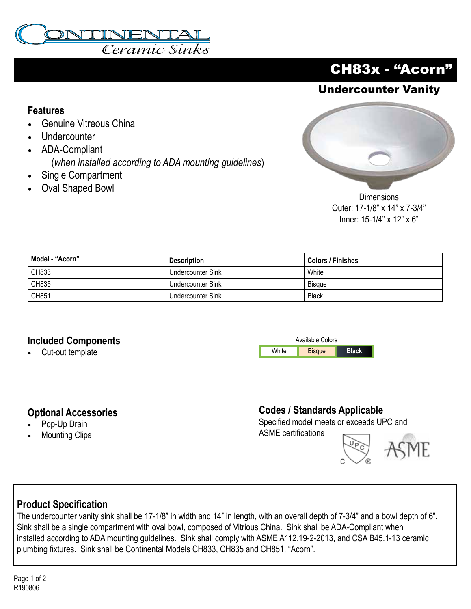

## CH83x - "Acorn"

## Undercounter Vanity

#### **Features**

- Genuine Vitreous China
- **Undercounter**
- ADA-Compliant (*when installed according to ADA mounting guidelines*)
- Single Compartment
- Oval Shaped Bowl



**Dimensions** Outer: 17-1/8" x 14" x 7-3/4" Inner: 15-1/4" x 12" x 6"

| Model - "Acorn" | <b>Description</b> | Colors / Finishes |
|-----------------|--------------------|-------------------|
| CH833           | Undercounter Sink  | <b>White</b>      |
| CH835           | Undercounter Sink  | Bisaue            |
| CH851           | Undercounter Sink  | <b>Black</b>      |

#### **Included Components**

• Cut-out template



#### **Optional Accessories**

- Pop-Up Drain
- **Mounting Clips**

#### **Codes / Standards Applicable**

Specified model meets or exceeds UPC and ASME certifications

#### **Product Specification**

The undercounter vanity sink shall be 17-1/8" in width and 14" in length, with an overall depth of 7-3/4" and a bowl depth of 6". Sink shall be a single compartment with oval bowl, composed of Vitrious China. Sink shall be ADA-Compliant when installed according to ADA mounting guidelines. Sink shall comply with ASME A112.19-2-2013, and CSA B45.1-13 ceramic plumbing fixtures. Sink shall be Continental Models CH833, CH835 and CH851, "Acorn".